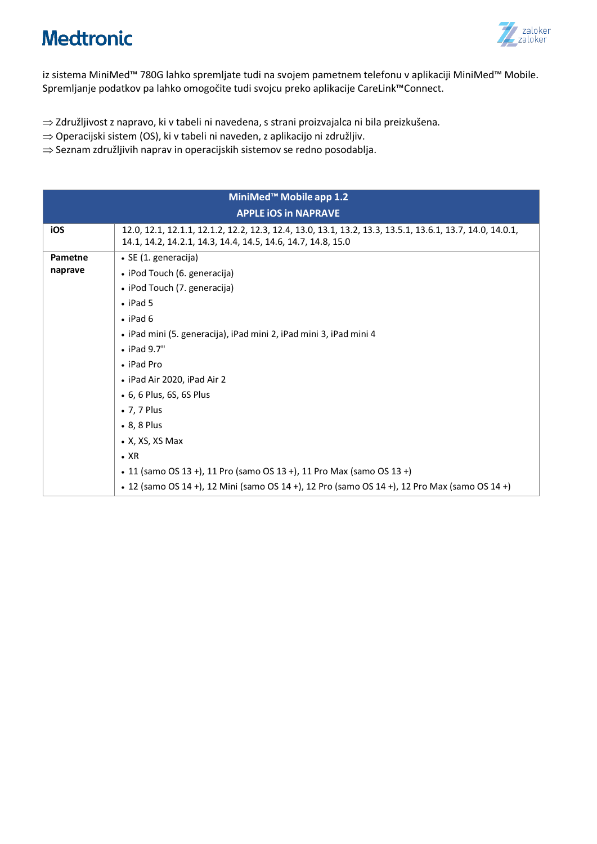

iz sistema MiniMed™ 780G lahko spremljate tudi na svojem pametnem telefonu v aplikaciji MiniMed™ Mobile. Spremljanje podatkov pa lahko omogočite tudi svojcu preko aplikacije CareLink™Connect.

- ⇒ Združljivost z napravo, ki v tabeli ni navedena, s strani proizvajalca ni bila preizkušena.
- $\Rightarrow$  Operacijski sistem (OS), ki v tabeli ni naveden, z aplikacijo ni združljiv.
- $\Rightarrow$  Seznam združljivih naprav in operacijskih sistemov se redno posodablja.

| MiniMed <sup>™</sup> Mobile app 1.2 |                                                                                                                                                                           |  |  |
|-------------------------------------|---------------------------------------------------------------------------------------------------------------------------------------------------------------------------|--|--|
| <b>APPLE IOS In NAPRAVE</b>         |                                                                                                                                                                           |  |  |
| iOS                                 | 12.0, 12.1, 12.1.1, 12.1.2, 12.2, 12.3, 12.4, 13.0, 13.1, 13.2, 13.3, 13.5.1, 13.6.1, 13.7, 14.0, 14.0.1,<br>14.1, 14.2, 14.2.1, 14.3, 14.4, 14.5, 14.6, 14.7, 14.8, 15.0 |  |  |
| Pametne                             | · SE (1. generacija)                                                                                                                                                      |  |  |
| naprave                             | • iPod Touch (6. generacija)                                                                                                                                              |  |  |
|                                     |                                                                                                                                                                           |  |  |
|                                     | • iPod Touch (7. generacija)                                                                                                                                              |  |  |
|                                     | $\cdot$ iPad 5                                                                                                                                                            |  |  |
|                                     | $\cdot$ iPad 6                                                                                                                                                            |  |  |
|                                     | · iPad mini (5. generacija), iPad mini 2, iPad mini 3, iPad mini 4                                                                                                        |  |  |
|                                     | $\bullet$ iPad 9.7"                                                                                                                                                       |  |  |
|                                     | • iPad Pro                                                                                                                                                                |  |  |
|                                     | • iPad Air 2020, iPad Air 2                                                                                                                                               |  |  |
|                                     | • 6, 6 Plus, 6S, 6S Plus                                                                                                                                                  |  |  |
|                                     | • 7, 7 Plus                                                                                                                                                               |  |  |
|                                     | • 8, 8 Plus                                                                                                                                                               |  |  |
|                                     | $\bullet$ X, XS, XS Max                                                                                                                                                   |  |  |
|                                     | $\cdot$ XR                                                                                                                                                                |  |  |
|                                     | • 11 (samo OS 13 +), 11 Pro (samo OS 13 +), 11 Pro Max (samo OS 13 +)                                                                                                     |  |  |
|                                     | • 12 (samo OS 14 +), 12 Mini (samo OS 14 +), 12 Pro (samo OS 14 +), 12 Pro Max (samo OS 14 +)                                                                             |  |  |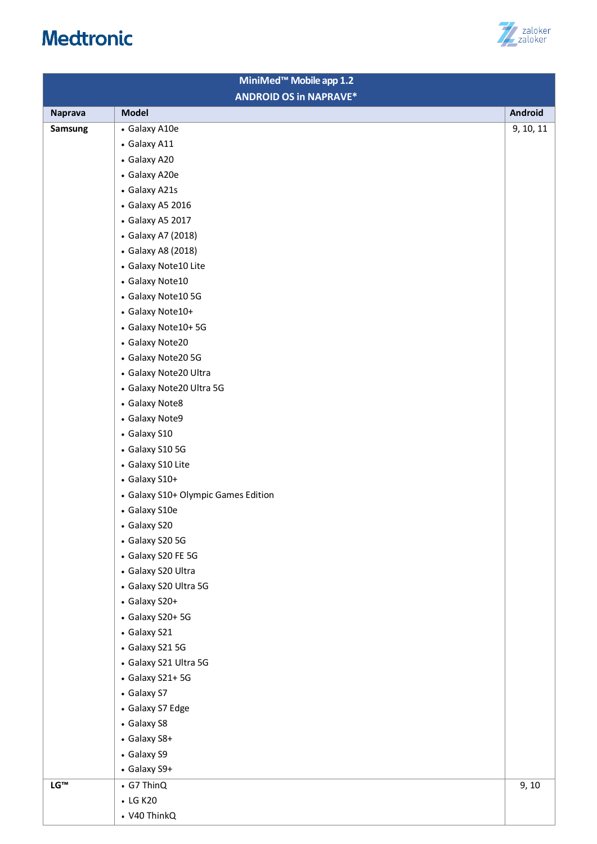# zaloker<br>zaloker

| MiniMed <sup>™</sup> Mobile app 1.2 |                                     |           |
|-------------------------------------|-------------------------------------|-----------|
| <b>ANDROID OS in NAPRAVE*</b>       |                                     |           |
| <b>Naprava</b>                      | <b>Model</b>                        | Android   |
| Samsung                             | • Galaxy A10e                       | 9, 10, 11 |
|                                     | • Galaxy A11                        |           |
|                                     | • Galaxy A20                        |           |
|                                     | • Galaxy A20e                       |           |
|                                     | • Galaxy A21s                       |           |
|                                     | • Galaxy A5 2016                    |           |
|                                     | • Galaxy A5 2017                    |           |
|                                     | • Galaxy A7 (2018)                  |           |
|                                     | • Galaxy A8 (2018)                  |           |
|                                     | • Galaxy Note10 Lite                |           |
|                                     | • Galaxy Note10                     |           |
|                                     | • Galaxy Note10 5G                  |           |
|                                     | • Galaxy Note10+                    |           |
|                                     | • Galaxy Note10+5G                  |           |
|                                     | • Galaxy Note20                     |           |
|                                     | • Galaxy Note20 5G                  |           |
|                                     | • Galaxy Note20 Ultra               |           |
|                                     | • Galaxy Note20 Ultra 5G            |           |
|                                     | • Galaxy Note8                      |           |
|                                     | • Galaxy Note9                      |           |
|                                     | • Galaxy S10                        |           |
|                                     | • Galaxy S10 5G                     |           |
|                                     | • Galaxy S10 Lite                   |           |
|                                     | • Galaxy S10+                       |           |
|                                     | • Galaxy S10+ Olympic Games Edition |           |
|                                     | • Galaxy S10e                       |           |
|                                     | • Galaxy S20                        |           |
|                                     | • Galaxy S20 5G                     |           |
|                                     | • Galaxy S20 FE 5G                  |           |
|                                     | • Galaxy S20 Ultra                  |           |
|                                     | • Galaxy S20 Ultra 5G               |           |
|                                     | • Galaxy S20+                       |           |
|                                     | • Galaxy S20+ 5G                    |           |
|                                     | • Galaxy S21                        |           |
|                                     | • Galaxy S21 5G                     |           |
|                                     | • Galaxy S21 Ultra 5G               |           |
|                                     | • Galaxy S21+5G                     |           |
|                                     | • Galaxy S7                         |           |
|                                     | • Galaxy S7 Edge                    |           |
|                                     | • Galaxy S8                         |           |
|                                     | • Galaxy S8+                        |           |
|                                     | • Galaxy S9                         |           |
|                                     | • Galaxy S9+                        |           |
| LG™                                 | • G7 ThinQ                          | 9, 10     |
|                                     | • LG K20                            |           |
|                                     | • V40 ThinkQ                        |           |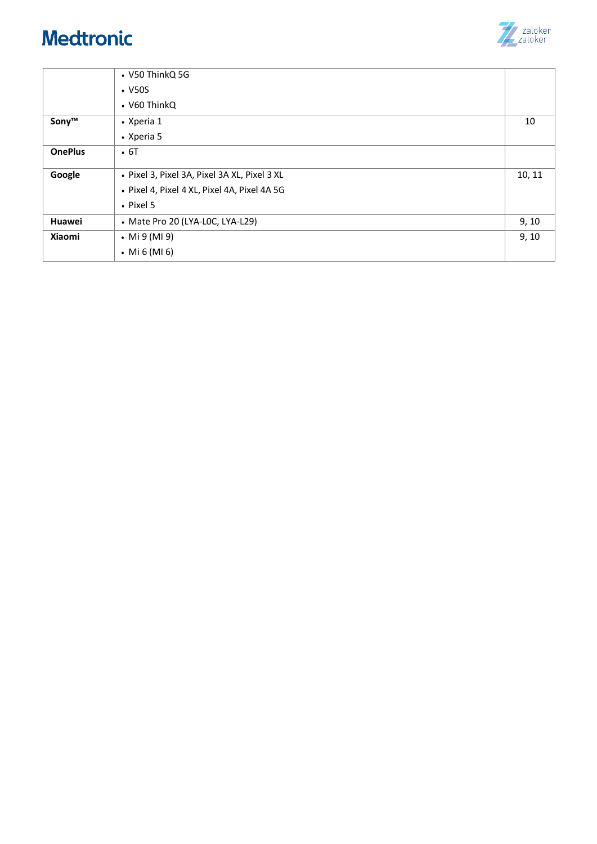

|                | • V50 ThinkQ 5G                              |        |
|----------------|----------------------------------------------|--------|
|                | $\cdot$ V50S                                 |        |
|                | • V60 ThinkQ                                 |        |
| Sony™          | • Xperia 1                                   | 10     |
|                | • Xperia 5                                   |        |
| <b>OnePlus</b> | $\cdot$ 6T                                   |        |
| Google         | · Pixel 3, Pixel 3A, Pixel 3A XL, Pixel 3 XL | 10, 11 |
|                |                                              |        |
|                | · Pixel 4, Pixel 4 XL, Pixel 4A, Pixel 4A 5G |        |
|                | $\cdot$ Pixel 5                              |        |
| Huawei         | • Mate Pro 20 (LYA-LOC, LYA-L29)             | 9, 10  |
| <b>Xiaomi</b>  | • Mi $9$ (MI 9)                              | 9, 10  |
|                | • Mi $6$ (MI $6$ )                           |        |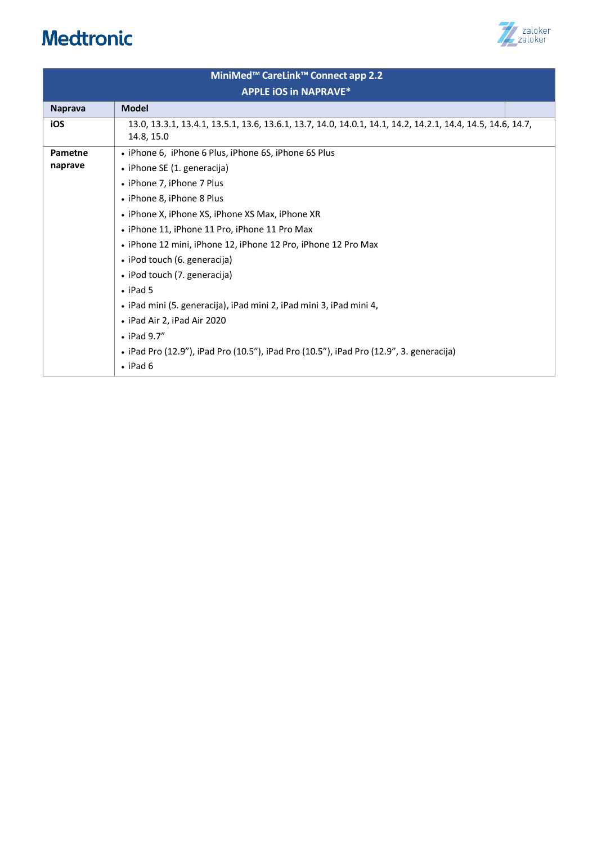

| MiniMed <sup>™</sup> CareLink™ Connect app 2.2 |                                                                                                                           |  |  |  |
|------------------------------------------------|---------------------------------------------------------------------------------------------------------------------------|--|--|--|
| <b>APPLE IOS In NAPRAVE*</b>                   |                                                                                                                           |  |  |  |
| <b>Naprava</b>                                 | <b>Model</b>                                                                                                              |  |  |  |
| iOS                                            | 13.0, 13.3.1, 13.4.1, 13.5.1, 13.6, 13.6.1, 13.7, 14.0, 14.0.1, 14.1, 14.2, 14.2.1, 14.4, 14.5, 14.6, 14.7,<br>14.8, 15.0 |  |  |  |
| Pametne                                        | • iPhone 6, iPhone 6 Plus, iPhone 6S, iPhone 6S Plus                                                                      |  |  |  |
| naprave                                        | • iPhone SE (1. generacija)                                                                                               |  |  |  |
|                                                | • iPhone 7, iPhone 7 Plus                                                                                                 |  |  |  |
|                                                | • iPhone 8, iPhone 8 Plus                                                                                                 |  |  |  |
|                                                | • iPhone X, iPhone XS, iPhone XS Max, iPhone XR                                                                           |  |  |  |
|                                                | • iPhone 11, iPhone 11 Pro, iPhone 11 Pro Max                                                                             |  |  |  |
|                                                | • iPhone 12 mini, iPhone 12, iPhone 12 Pro, iPhone 12 Pro Max                                                             |  |  |  |
|                                                | • iPod touch (6. generacija)                                                                                              |  |  |  |
|                                                | • iPod touch (7. generacija)                                                                                              |  |  |  |
|                                                | $\cdot$ iPad 5                                                                                                            |  |  |  |
|                                                | • iPad mini (5. generacija), iPad mini 2, iPad mini 3, iPad mini 4,                                                       |  |  |  |
|                                                | • iPad Air 2, iPad Air 2020                                                                                               |  |  |  |
|                                                | $\bullet$ iPad 9.7"                                                                                                       |  |  |  |
|                                                | • iPad Pro (12.9"), iPad Pro (10.5"), iPad Pro (10.5"), iPad Pro (12.9", 3. generacija)                                   |  |  |  |
|                                                | $\cdot$ iPad 6                                                                                                            |  |  |  |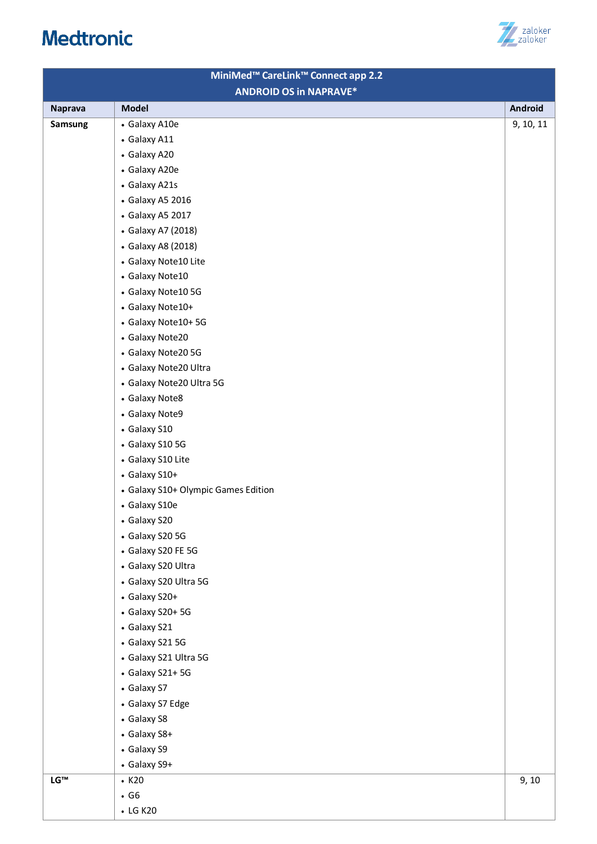

|                               | MiniMed <sup>™</sup> CareLink™ Connect app 2.2 |                |
|-------------------------------|------------------------------------------------|----------------|
| <b>ANDROID OS in NAPRAVE*</b> |                                                |                |
| <b>Naprava</b>                | <b>Model</b>                                   | <b>Android</b> |
| Samsung                       | • Galaxy A10e                                  | 9, 10, 11      |
|                               | • Galaxy A11                                   |                |
|                               | • Galaxy A20                                   |                |
|                               | • Galaxy A20e                                  |                |
|                               | • Galaxy A21s                                  |                |
|                               | • Galaxy A5 2016                               |                |
|                               | • Galaxy A5 2017                               |                |
|                               | • Galaxy A7 (2018)                             |                |
|                               | • Galaxy A8 (2018)                             |                |
|                               | • Galaxy Note10 Lite                           |                |
|                               | • Galaxy Note10                                |                |
|                               | • Galaxy Note10 5G                             |                |
|                               | • Galaxy Note10+                               |                |
|                               | • Galaxy Note10+5G                             |                |
|                               | • Galaxy Note20                                |                |
|                               | • Galaxy Note20 5G                             |                |
|                               | • Galaxy Note20 Ultra                          |                |
|                               | • Galaxy Note20 Ultra 5G                       |                |
|                               | • Galaxy Note8                                 |                |
|                               | • Galaxy Note9                                 |                |
|                               | • Galaxy S10                                   |                |
|                               | • Galaxy S10 5G                                |                |
|                               | • Galaxy S10 Lite                              |                |
|                               | • Galaxy S10+                                  |                |
|                               | • Galaxy S10+ Olympic Games Edition            |                |
|                               | • Galaxy S10e                                  |                |
|                               | • Galaxy S20                                   |                |
|                               | • Galaxy S20 5G                                |                |
|                               | • Galaxy S20 FE 5G                             |                |
|                               | • Galaxy S20 Ultra                             |                |
|                               | • Galaxy S20 Ultra 5G                          |                |
|                               | • Galaxy S20+                                  |                |
|                               | • Galaxy S20+ 5G                               |                |
|                               | • Galaxy S21                                   |                |
|                               | • Galaxy S21 5G                                |                |
|                               | • Galaxy S21 Ultra 5G                          |                |
|                               | • Galaxy S21+5G                                |                |
|                               | • Galaxy S7                                    |                |
|                               | • Galaxy S7 Edge                               |                |
|                               | • Galaxy S8                                    |                |
|                               | • Galaxy S8+                                   |                |
|                               | • Galaxy S9                                    |                |
|                               | • Galaxy S9+                                   |                |
| LG™                           | $\cdot$ K20                                    | 9, 10          |
|                               | $\cdot$ G6                                     |                |
|                               | • LG K20                                       |                |